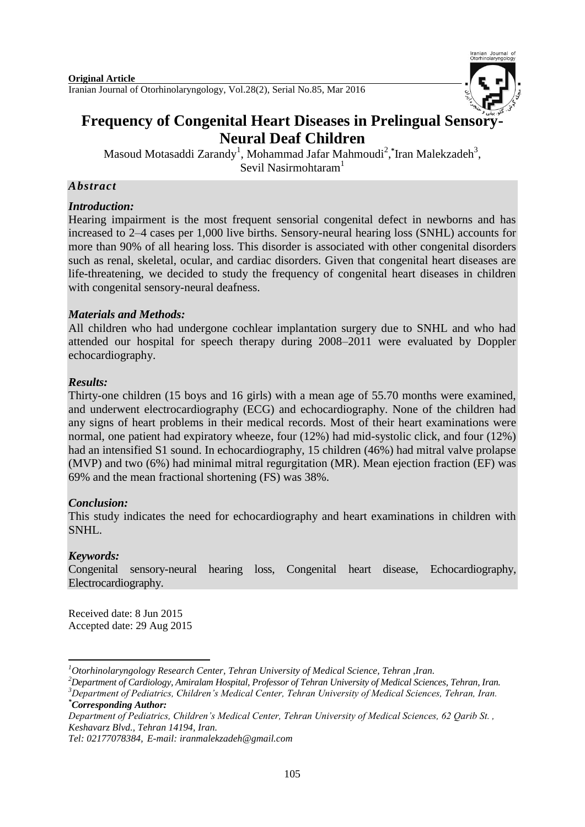

# **Frequency of Congenital Heart Diseases in Prelingual Sensory Neural Deaf Children**

Masoud Motasaddi Zarandy<sup>1</sup>, Mohammad Jafar Mahmoudi<sup>2</sup>,\*Iran Malekzadeh<sup>3</sup>, Sevil Nasirmohtaram<sup>1</sup>

### *Abstract*

### *Introduction:*

Hearing impairment is the most frequent sensorial congenital defect in newborns and has increased to 2–4 cases per 1,000 live births. Sensory-neural hearing loss (SNHL) accounts for more than 90% of all hearing loss. This disorder is associated with other congenital disorders such as renal, skeletal, ocular, and cardiac disorders. Given that congenital heart diseases are life-threatening, we decided to study the frequency of congenital heart diseases in children with congenital sensory-neural deafness.

### *Materials and Methods:*

All children who had undergone cochlear implantation surgery due to SNHL and who had attended our hospital for speech therapy during 2008–2011 were evaluated by Doppler echocardiography.

### *Results:*

Thirty-one children (15 boys and 16 girls) with a mean age of 55.70 months were examined, and underwent electrocardiography (ECG) and echocardiography. None of the children had any signs of heart problems in their medical records. Most of their heart examinations were normal, one patient had expiratory wheeze, four (12%) had mid-systolic click, and four (12%) had an intensified S1 sound. In echocardiography, 15 children (46%) had mitral valve prolapse (MVP) and two (6%) had minimal mitral regurgitation (MR). Mean ejection fraction (EF) was 69% and the mean fractional shortening (FS) was 38%.

### *Conclusion:*

This study indicates the need for echocardiography and heart examinations in children with SNHL.

### *Keywords:*

-

Congenital sensory-neural hearing loss, Congenital heart disease, Echocardiography, Electrocardiography.

Received date: 8 Jun 2015 Accepted date: 29 Aug 2015

*<sup>1</sup>Otorhinolaryngology Research Center, Tehran University of Medical Science, Tehran ,Iran.*

*<sup>2</sup>Department of Cardiology, Amiralam Hospital, Professor of Tehran University of Medical Sciences, Tehran, Iran. <sup>3</sup>Department of Pediatrics, Children's Medical Center, Tehran University of Medical Sciences, Tehran, Iran. \*Corresponding Author:*

*Department of Pediatrics, Children's Medical Center, Tehran University of Medical Sciences, 62 Qarib St. , Keshavarz Blvd., Tehran 14194, Iran.*

*Tel: 02177078384, E-mail: iranmalekzadeh@gmail.com*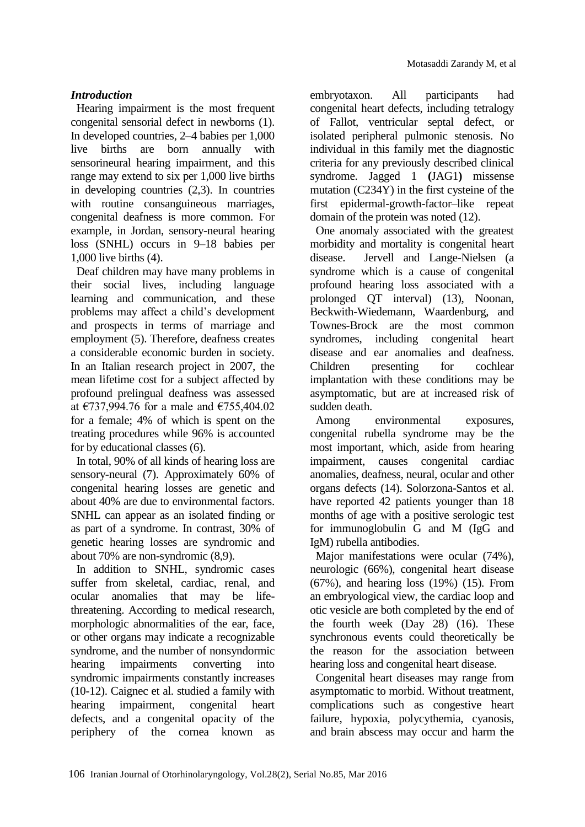# *Introduction*

Hearing impairment is the most frequent congenital sensorial defect in newborns (1). In developed countries, 2–4 babies per 1,000 live births are born annually with sensorineural hearing impairment, and this range may extend to six per 1,000 live births in developing countries (2,3). In countries with routine consanguineous marriages, congenital deafness is more common. For example, in Jordan, sensory-neural hearing loss (SNHL) occurs in 9–18 babies per 1,000 live births (4).

Deaf children may have many problems in their social lives, including language learning and communication, and these problems may affect a child's development and prospects in terms of marriage and employment (5). Therefore, deafness creates a considerable economic burden in society. In an Italian research project in 2007, the mean lifetime cost for a subject affected by profound prelingual deafness was assessed at €737,994.76 for a male and €755,404.02 for a female; 4% of which is spent on the treating procedures while 96% is accounted for by educational classes (6).

In total, 90% of all kinds of hearing loss are sensory-neural (7). Approximately 60% of congenital hearing losses are genetic and about 40% are due to environmental factors. SNHL can appear as an isolated finding or as part of a syndrome. In contrast, 30% of genetic hearing losses are syndromic and about 70% are non-syndromic (8,9).

In addition to SNHL, syndromic cases suffer from skeletal, cardiac, renal, and ocular anomalies that may be lifethreatening. According to medical research, morphologic abnormalities of the ear, face, or other organs may indicate a recognizable syndrome, and the number of nonsyndormic hearing impairments converting into syndromic impairments constantly increases (10-12). Caignec et al. studied a family with hearing impairment, congenital heart defects, and a congenital opacity of the periphery of the cornea known as

embryotaxon. All participants had congenital heart defects, including tetralogy of Fallot, ventricular septal defect, or isolated peripheral pulmonic stenosis. No individual in this family met the diagnostic criteria for any previously described clinical syndrome. Jagged 1 **(**JAG1**)** missense mutation (C234Y) in the first cysteine of the first epidermal-growth-factor–like repeat domain of the protein was noted (12).

One anomaly associated with the greatest morbidity and mortality is congenital heart disease. Jervell and Lange-Nielsen (a syndrome which is a cause of congenital profound hearing loss associated with a prolonged QT interval) (13), Noonan, Beckwith-Wiedemann, Waardenburg, and Townes-Brock are the most common syndromes, including congenital heart disease and ear anomalies and deafness. Children presenting for cochlear implantation with these conditions may be asymptomatic, but are at increased risk of sudden death.

Among environmental exposures, congenital rubella syndrome may be the most important, which, aside from hearing impairment, causes congenital cardiac anomalies, deafness, neural, ocular and other organs defects (14). Solorzona-Santos et al. have reported 42 patients younger than 18 months of age with a positive serologic test for immunoglobulin G and M (IgG and IgM) rubella antibodies.

Major manifestations were ocular (74%), neurologic (66%), congenital heart disease (67%), and hearing loss (19%) (15). From an embryological view, the cardiac loop and otic vesicle are both completed by the end of the fourth week (Day 28) (16). These synchronous events could theoretically be the reason for the association between hearing loss and congenital heart disease.

Congenital heart diseases may range from asymptomatic to morbid. Without treatment, complications such as congestive heart failure, hypoxia, polycythemia, cyanosis, and brain abscess may occur and harm the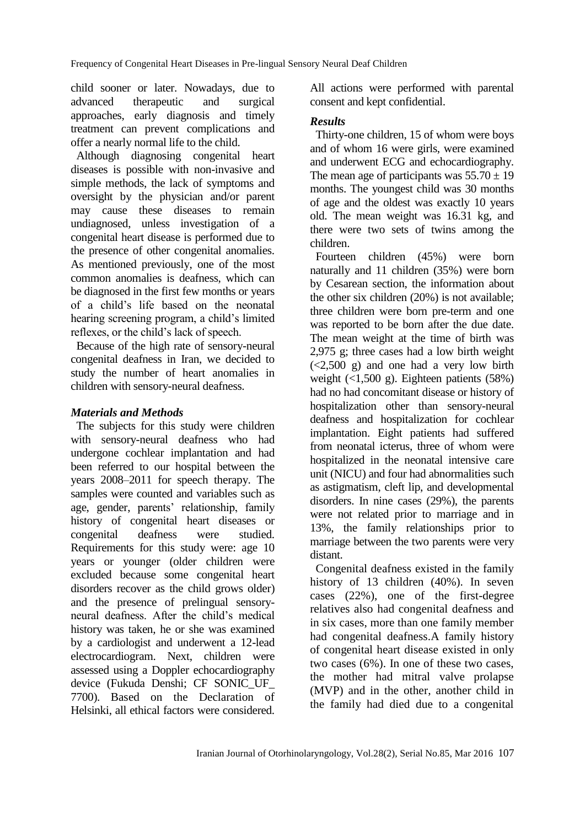child sooner or later. Nowadays, due to advanced therapeutic and surgical approaches, early diagnosis and timely treatment can prevent complications and offer a nearly normal life to the child.

Although diagnosing congenital heart diseases is possible with non-invasive and simple methods, the lack of symptoms and oversight by the physician and/or parent may cause these diseases to remain undiagnosed, unless investigation of a congenital heart disease is performed due to the presence of other congenital anomalies. As mentioned previously, one of the most common anomalies is deafness, which can be diagnosed in the first few months or years of a child's life based on the neonatal hearing screening program, a child's limited reflexes, or the child's lack of speech.

Because of the high rate of sensory-neural congenital deafness in Iran, we decided to study the number of heart anomalies in children with sensory-neural deafness.

# *Materials and Methods*

The subjects for this study were children with sensory-neural deafness who had undergone cochlear implantation and had been referred to our hospital between the years 2008–2011 for speech therapy. The samples were counted and variables such as age, gender, parents' relationship, family history of congenital heart diseases or congenital deafness were studied. Requirements for this study were: age 10 years or younger (older children were excluded because some congenital heart disorders recover as the child grows older) and the presence of prelingual sensoryneural deafness. After the child's medical history was taken, he or she was examined by a cardiologist and underwent a 12-lead electrocardiogram. Next, children were assessed using a Doppler echocardiography device (Fukuda Denshi; CF SONIC\_UF\_ 7700). Based on the Declaration of Helsinki, all ethical factors were considered. All actions were performed with parental consent and kept confidential.

### *Results*

Thirty-one children, 15 of whom were boys and of whom 16 were girls, were examined and underwent ECG and echocardiography. The mean age of participants was  $55.70 \pm 19$ months. The youngest child was 30 months of age and the oldest was exactly 10 years old. The mean weight was 16.31 kg, and there were two sets of twins among the children.

Fourteen children (45%) were born naturally and 11 children (35%) were born by Cesarean section, the information about the other six children (20%) is not available; three children were born pre-term and one was reported to be born after the due date. The mean weight at the time of birth was 2,975 g; three cases had a low birth weight (<2,500 g) and one had a very low birth weight  $(1,500 \text{ g})$ . Eighteen patients  $(58\%)$ had no had concomitant disease or history of hospitalization other than sensory-neural deafness and hospitalization for cochlear implantation. Eight patients had suffered from neonatal icterus, three of whom were hospitalized in the neonatal intensive care unit (NICU) and four had abnormalities such as astigmatism, cleft lip, and developmental disorders. In nine cases (29%), the parents were not related prior to marriage and in 13%, the family relationships prior to marriage between the two parents were very distant.

Congenital deafness existed in the family history of 13 children (40%). In seven cases (22%), one of the first-degree relatives also had congenital deafness and in six cases, more than one family member had congenital deafness.A family history of congenital heart disease existed in only two cases (6%). In one of these two cases, the mother had mitral valve prolapse (MVP) and in the other, another child in the family had died due to a congenital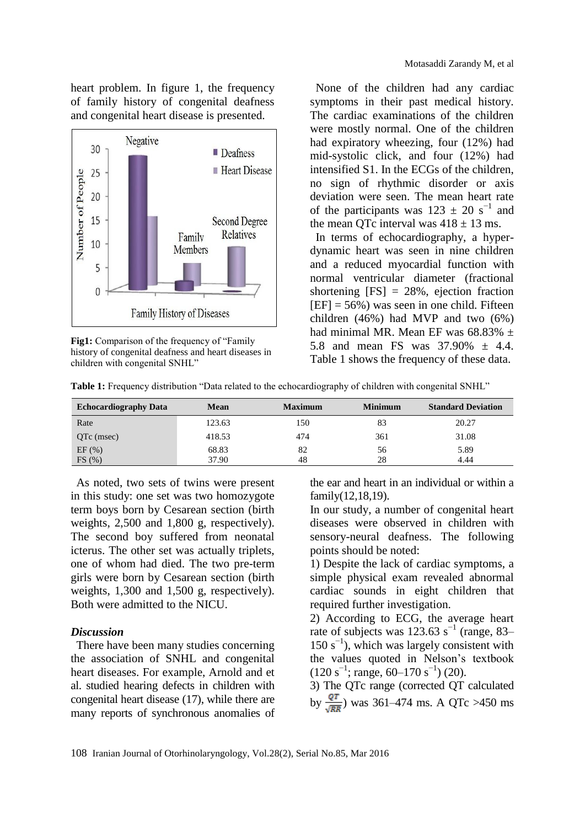heart problem. In figure 1, the frequency of family history of congenital deafness and congenital heart disease is presented.



**Fig1:** Comparison of the frequency of "Family history of congenital deafness and heart diseases in children with congenital SNHL"

None of the children had any cardiac symptoms in their past medical history. The cardiac examinations of the children were mostly normal. One of the children had expiratory wheezing, four (12%) had mid-systolic click, and four (12%) had intensified S1. In the ECGs of the children, no sign of rhythmic disorder or axis deviation were seen. The mean heart rate of the participants was  $123 \pm 20$  s<sup>-1</sup> and the mean QTc interval was  $418 \pm 13$  ms.

In terms of echocardiography, a hyperdynamic heart was seen in nine children and a reduced myocardial function with normal ventricular diameter (fractional shortening  $[FS] = 28\%$ , ejection fraction  $[EF] = 56\%$ ) was seen in one child. Fifteen children (46%) had MVP and two (6%) had minimal MR. Mean EF was  $68.83\% \pm$ 5.8 and mean FS was 37.90% ± 4.4. Table 1 shows the frequency of these data.

| Table 1: Frequency distribution "Data related to the echocardiography of children with congenital SNHL" |  |
|---------------------------------------------------------------------------------------------------------|--|
|                                                                                                         |  |

| <b>Echocardiography Data</b> | Mean           | <b>Maximum</b> | <b>Minimum</b> | <b>Standard Deviation</b> |
|------------------------------|----------------|----------------|----------------|---------------------------|
| Rate                         | 123.63         | 150            | 83             | 20.27                     |
| QTc (msec)                   | 418.53         | 474            | 361            | 31.08                     |
| EF(%)<br>FS(%)               | 68.83<br>37.90 | 82<br>48       | 56<br>28       | 5.89<br>4.44              |

As noted, two sets of twins were present in this study: one set was two homozygote term boys born by Cesarean section (birth weights, 2,500 and 1,800 g, respectively). The second boy suffered from neonatal icterus. The other set was actually triplets, one of whom had died. The two pre-term girls were born by Cesarean section (birth weights, 1,300 and 1,500 g, respectively). Both were admitted to the NICU.

#### *Discussion*

There have been many studies concerning the association of SNHL and congenital heart diseases. For example, Arnold and et al. studied hearing defects in children with congenital heart disease (17), while there are many reports of synchronous anomalies of the ear and heart in an individual or within a family(12,18,19).

In our study, a number of congenital heart diseases were observed in children with sensory-neural deafness. The following points should be noted:

1) Despite the lack of cardiac symptoms, a simple physical exam revealed abnormal cardiac sounds in eight children that required further investigation.

2) According to ECG, the average heart rate of subjects was  $123.63$  s<sup>-1</sup> (range, 83– 150 s−1 ), which was largely consistent with the values quoted in Nelson's textbook  $(120 \text{ s}^{-1})$ ; range, 60–170 s<sup>-1</sup>) (20).

3) The QTc range (corrected QT calculated by  $\frac{QT}{\sqrt{RR}}$ ) was 361–474 ms. A QTc >450 ms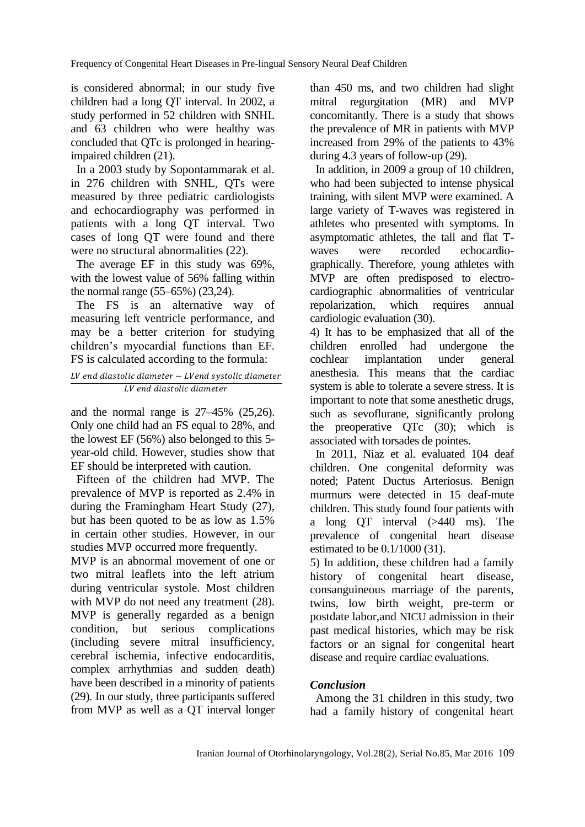is considered abnormal; in our study five children had a long QT interval. In 2002, a study performed in 52 children with SNHL and 63 children who were healthy was concluded that QTc is prolonged in hearingimpaired children (21).

In a 2003 study by Sopontammarak et al. in 276 children with SNHL, QTs were measured by three pediatric cardiologists and echocardiography was performed in patients with a long QT interval. Two cases of long QT were found and there were no structural abnormalities (22).

The average EF in this study was 69%, with the lowest value of 56% falling within the normal range (55–65%) (23,24).

The FS is an alternative way of measuring left ventricle performance, and may be a better criterion for studying children's myocardial functions than EF. FS is calculated according to the formula:

#### $LV$  end diastolic diameter  $-LV$ end systolic diameter LV end diastolic diameter

and the normal range is 27–45% (25,26). Only one child had an FS equal to 28%, and the lowest EF (56%) also belonged to this 5 year-old child. However, studies show that EF should be interpreted with caution.

Fifteen of the children had MVP. The prevalence of MVP is reported as 2.4% in during the Framingham Heart Study (27), but has been quoted to be as low as 1.5% in certain other studies. However, in our studies MVP occurred more frequently.

MVP is an abnormal movement of one or two mitral leaflets into the left atrium during ventricular systole. Most children with MVP do not need any treatment (28). MVP is generally regarded as a benign condition, but serious complications (including severe mitral insufficiency, cerebral ischemia, infective endocarditis, complex arrhythmias and sudden death) have been described in a minority of patients (29). In our study, three participants suffered from MVP as well as a QT interval longer than 450 ms, and two children had slight mitral regurgitation (MR) and MVP concomitantly. There is a study that shows the prevalence of MR in patients with MVP increased from 29% of the patients to 43% during 4.3 years of follow-up (29).

In addition, in 2009 a group of 10 children, who had been subjected to intense physical training, with silent MVP were examined. A large variety of T-waves was registered in athletes who presented with symptoms. In asymptomatic athletes, the tall and flat Twaves were recorded echocardiographically. Therefore, young athletes with MVP are often predisposed to electrocardiographic abnormalities of ventricular repolarization, which requires annual cardiologic evaluation (30).

4) It has to be emphasized that all of the children enrolled had undergone the cochlear implantation under general anesthesia. This means that the cardiac system is able to tolerate a severe stress. It is important to note that some anesthetic drugs, such as sevoflurane, significantly prolong the preoperative QTc (30); which is associated with torsades de pointes.

In 2011, Niaz et al. evaluated 104 deaf children. One congenital deformity was noted; Patent Ductus Arteriosus. Benign murmurs were detected in 15 deaf-mute children. This study found four patients with a long QT interval (>440 ms). The prevalence of congenital heart disease estimated to be 0.1/1000 (31).

5) In addition, these children had a family history of congenital heart disease, consanguineous marriage of the parents, twins, low birth weight, pre-term or postdate labor,and NICU admission in their past medical histories, which may be risk factors or an signal for congenital heart disease and require cardiac evaluations.

# *Conclusion*

Among the 31 children in this study, two had a family history of congenital heart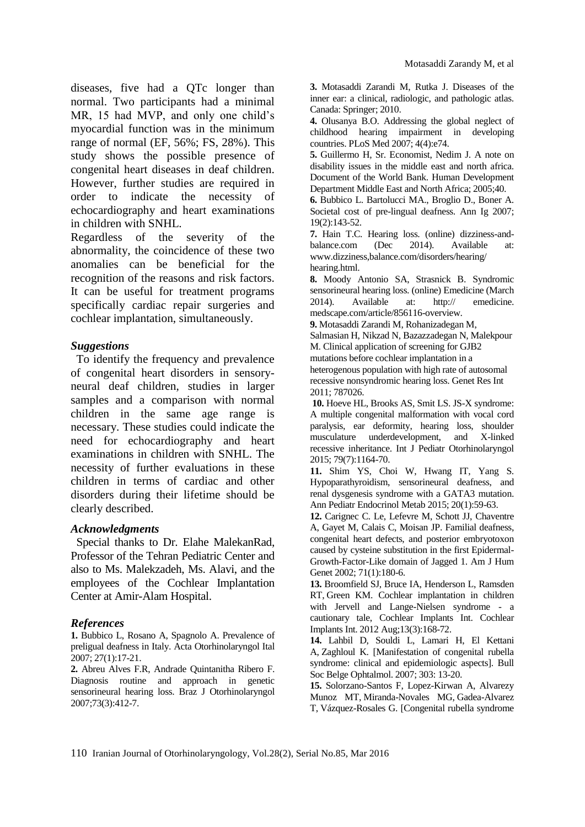diseases, five had a QTc longer than normal. Two participants had a minimal MR, 15 had MVP, and only one child's myocardial function was in the minimum range of normal (EF, 56%; FS, 28%). This study shows the possible presence of congenital heart diseases in deaf children. However, further studies are required in order to indicate the necessity of echocardiography and heart examinations in children with SNHL.

Regardless of the severity of the abnormality, the coincidence of these two anomalies can be beneficial for the recognition of the reasons and risk factors. It can be useful for treatment programs specifically cardiac repair surgeries and cochlear implantation, simultaneously.

#### *Suggestions*

To identify the frequency and prevalence of congenital heart disorders in sensoryneural deaf children, studies in larger samples and a comparison with normal children in the same age range is necessary. These studies could indicate the need for echocardiography and heart examinations in children with SNHL. The necessity of further evaluations in these children in terms of cardiac and other disorders during their lifetime should be clearly described.

#### *Acknowledgments*

Special thanks to Dr. Elahe MalekanRad, Professor of the Tehran Pediatric Center and also to Ms. Malekzadeh, Ms. Alavi, and the employees of the Cochlear Implantation Center at Amir-Alam Hospital.

#### *References*

**1.** Bubbico L, Rosano A, Spagnolo A. Prevalence of preligual deafness in Italy. Acta Otorhinolaryngol Ital 2007; 27(1):17-21.

**2.** Abreu Alves F.R, Andrade Quintanitha Ribero F. Diagnosis routine and approach in genetic sensorineural hearing loss. Braz J Otorhinolaryngol 2007;73(3):412-7.

**3.** Motasaddi Zarandi M, Rutka J. Diseases of the inner ear: a clinical, radiologic, and pathologic atlas. Canada: Springer; 2010.

**4.** Olusanya B.O. Addressing the global neglect of childhood hearing impairment in developing countries. PLoS Med 2007; 4(4):e74.

**5.** Guillermo H, Sr. Economist, Nedim J. A note on disability issues in the middle east and north africa. Document of the World Bank. Human Development Department Middle East and North Africa; 2005;40.

**6.** Bubbico L. Bartolucci MA., Broglio D., Boner A. Societal cost of pre-lingual deafness. Ann Ig 2007; 19(2):143-52.

**7.** Hain T.C. Hearing loss. (online) dizziness-andbalance.com (Dec 2014). Available at: [www.dizziness,b](http://www.dizziness,/)alance.com/disorders/hearing/ hearing.html.

**8.** Moody Antonio SA, Strasnick B. Syndromic sensorineural hearing loss. (online) Emedicine (March 2014). Available at: http:// emedicine. medscape.com/article/856116-overview.

**9.** Motasaddi Zarandi M, Rohanizadegan M,

Salmasian H, Nikzad N, Bazazzadegan N, Malekpour M. Clinical application of screening for GJB2 mutations before cochlear implantation in a heterogenous population with high rate of autosomal recessive nonsyndromic hearing loss. Genet Res Int 2011; 787026.

**10.** Hoeve HL, Brooks AS, Smit LS. JS-X syndrome: A multiple congenital malformation with vocal cord paralysis, ear deformity, hearing loss, shoulder musculature underdevelopment, and X-linked recessive inheritance. Int J Pediatr Otorhinolaryngol 2015; 79(7):1164-70.

**11.** Shim YS, Choi W, Hwang IT, Yang S. Hypoparathyroidism, sensorineural deafness, and renal dysgenesis syndrome with a GATA3 mutation. Ann Pediatr Endocrinol Metab 2015; 20(1):59-63.

**12.** Carignec C. Le, Lefevre M, Schott JJ, [Chaventre](http://www.sciencedirect.com/science/article/pii/S0002929707600482) [A,](http://www.sciencedirect.com/science/article/pii/S0002929707600482#aff1) [Gayet](http://www.sciencedirect.com/science/article/pii/S0002929707600482) M, [Calais](http://www.sciencedirect.com/science/article/pii/S0002929707600482) C, [Moisan JP.](http://www.ncbi.nlm.nih.gov/pubmed/?term=Moisan%20JP%5BAuthor%5D&cauthor=true&cauthor_uid=12022040) Familial deafness, congenital heart defects, and posterior embryotoxon caused by cysteine substitution in the first Epidermal-Growth-Factor-Like domain of Jagged 1. Am J Hum Genet 2002; 71(1):180-6.

**13.** Broomfield SJ, Bruce IA, Henderson L, [Ramsden](http://www.ncbi.nlm.nih.gov/pubmed/?term=Ramsden%20RT%5BAuthor%5D&cauthor=true&cauthor_uid=22333885)  [RT,](http://www.ncbi.nlm.nih.gov/pubmed/?term=Ramsden%20RT%5BAuthor%5D&cauthor=true&cauthor_uid=22333885) [Green KM.](http://www.ncbi.nlm.nih.gov/pubmed/?term=Green%20KM%5BAuthor%5D&cauthor=true&cauthor_uid=22333885) Cochlear implantation in children with Jervell and Lange-Nielsen syndrome - a cautionary tale, Cochlear Implants Int. Cochlear Implants Int. 2012 Aug;13(3):168-72.

**14.** Lahbil D, Souldi L, Lamari H, [El Kettani](http://www.ncbi.nlm.nih.gov/pubmed/?term=El%20Kettani%20A%5BAuthor%5D&cauthor=true&cauthor_uid=17894282)  [A,](http://www.ncbi.nlm.nih.gov/pubmed/?term=El%20Kettani%20A%5BAuthor%5D&cauthor=true&cauthor_uid=17894282) [Zaghloul K.](http://www.ncbi.nlm.nih.gov/pubmed/?term=Zaghloul%20K%5BAuthor%5D&cauthor=true&cauthor_uid=17894282) [Manifestation of congenital rubella syndrome: clinical and epidemiologic aspects]. Bull Soc Belge Ophtalmol. 2007; 303: 13-20.

**15.** Solorzano-Santos F, Lopez-Kirwan A, Alvarezy Munoz MT, [Miranda-Novales MG,](http://www.ncbi.nlm.nih.gov/pubmed/?term=Miranda-Novales%20MG%5BAuthor%5D&cauthor=true&cauthor_uid=11381796) [Gadea-Alvarez](http://www.ncbi.nlm.nih.gov/pubmed/?term=Gadea-Alvarez%20T%5BAuthor%5D&cauthor=true&cauthor_uid=11381796)  [T,](http://www.ncbi.nlm.nih.gov/pubmed/?term=Gadea-Alvarez%20T%5BAuthor%5D&cauthor=true&cauthor_uid=11381796) [Vázquez-Rosales G.](http://www.ncbi.nlm.nih.gov/pubmed/?term=V%C3%A1zquez-Rosales%20G%5BAuthor%5D&cauthor=true&cauthor_uid=11381796) [Congenital rubella syndrome